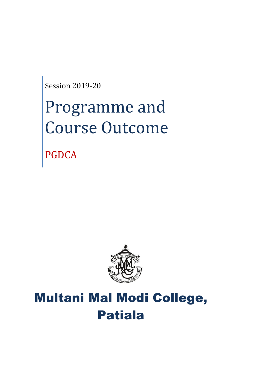Session 2019-20

# Programme and Course Outcome

PGDCA



# Multani Mal Modi College, Patiala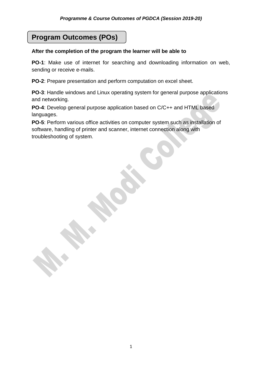## **Program Outcomes (POs)**

#### **After the completion of the program the learner will be able to**

**PO-1**: Make use of internet for searching and downloading information on web, sending or receive e-mails.

**PO-2**: Prepare presentation and perform computation on excel sheet.

**PO-3**: Handle windows and Linux operating system for general purpose applications and networking.

**PO-4**: Develop general purpose application based on C/C++ and HTML based languages.

**PO-5**: Perform various office activities on computer system such as installation of software, handling of printer and scanner, internet connection along with troubleshooting of system.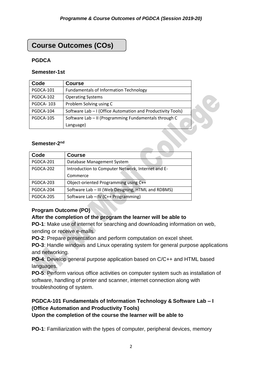### **Course Outcomes (COs)**

#### **PGDCA**

#### **Semester-1st**

| Code             | <b>Course</b>                                               |  |
|------------------|-------------------------------------------------------------|--|
| PGDCA-101        | <b>Fundamentals of Information Technology</b>               |  |
| PGDCA-102        | <b>Operating Systems</b>                                    |  |
| <b>PGDCA-103</b> | Problem Solving using C                                     |  |
| PGDCA-104        | Software Lab - I (Office Automation and Productivity Tools) |  |
| PGDCA-105        | Software Lab - II (Programming Fundamentals through C       |  |
|                  | Language)                                                   |  |

#### Semester-2<sup>nd</sup>

| Code      | <b>Course</b>                                      |
|-----------|----------------------------------------------------|
| PGDCA-201 | Database Management System                         |
| PGDCA-202 | Introduction to Computer Network, Internet and E-  |
|           | Commerce                                           |
| PGDCA-203 | Object-oriented Programming using C++              |
| PGDCA-204 | Software Lab - III (Web Designing, HTML and RDBMS) |
| PGDCA-205 | Software Lab - IV (C++ Programming)                |

#### **Program Outcome (PO)**

#### **After the completion of the program the learner will be able to**

**PO-1**: Make use of internet for searching and downloading information on web, sending or receive e-mails.

**PO-2**: Prepare presentation and perform computation on excel sheet.

**PO-3**: Handle windows and Linux operating system for general purpose applications and networking.

**PO-4**: Develop general purpose application based on C/C++ and HTML based languages.

**PO-5**: Perform various office activities on computer system such as installation of software, handling of printer and scanner, internet connection along with troubleshooting of system.

#### **PGDCA-101 Fundamentals of Information Technology & Software Lab – I (Office Automation and Productivity Tools) Upon the completion of the course the learner will be able to**

**PO-1**: Familiarization with the types of computer, peripheral devices, memory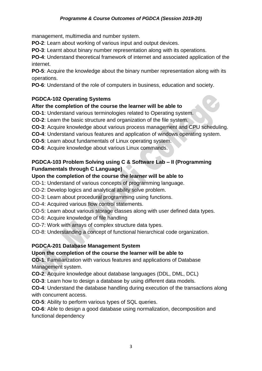management, multimedia and number system.

**PO-2**: Learn about working of various input and output devices.

**PO-3**: Learnt about binary number representation along with its operations.

**PO-4**: Understand theoretical framework of internet and associated application of the internet.

**PO-5**: Acquire the knowledge about the binary number representation along with its operations.

**PO-6**: Understand of the role of computers in business, education and society.

#### **PGDCA-102 Operating Systems**

#### **After the completion of the course the learner will be able to**

- **CO-1**: Understand various terminologies related to Operating system.
- **CO-2**: Learn the basic structure and organization of the file system.
- **CO-3**: Acquire knowledge about various process management and CPU scheduling.
- **CO-4**: Understand various features and application of windows operating system.
- **CO-5**: Learn about fundamentals of Linux operating system.
- **CO-6**: Acquire knowledge about various Linux commands.

#### **PGDCA-103 Problem Solving using C & Software Lab – II (Programming Fundamentals through C Language)**

#### **Upon the completion of the course the learner will be able to**

CO-1: Understand of various concepts of programming language.

- CO-2: Develop logics and analytical ability solve problem.
- CO-3: Learn about procedural programming using functions.
- CO-4: Acquired various flow control statements.
- CO-5: Learn about various storage classes along with user defined data types.
- CO-6: Acquire knowledge of file handling
- CO-7: Work with arrays of complex structure data types.
- CO-8: Understanding a concept of functional hierarchical code organization.

#### **PGDCA-201 Database Management System**

#### **Upon the completion of the course the learner will be able to**

**CO-1**: Familiarization with various features and applications of Database Management system.

**CO-2**: Acquire knowledge about database languages (DDL, DML, DCL)

**CO-3**: Learn how to design a database by using different data models.

**CO-4**: Understand the database handling during execution of the transactions along with concurrent access.

**CO-5**: Ability to perform various types of SQL queries.

**CO-6**: Able to design a good database using normalization, decomposition and functional dependency